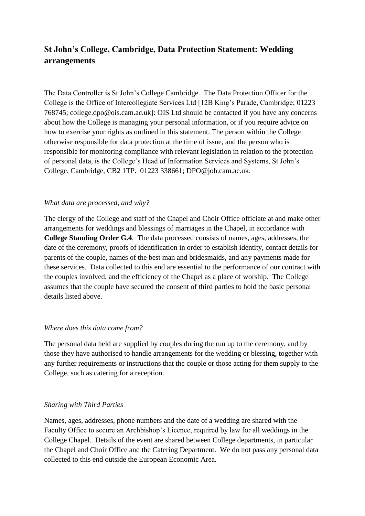# **St John's College, Cambridge, Data Protection Statement: Wedding arrangements**

The Data Controller is St John's College Cambridge. The Data Protection Officer for the College is the Office of Intercollegiate Services Ltd [12B King's Parade, Cambridge; 01223 768745; college.dpo@ois.cam.ac.uk]: OIS Ltd should be contacted if you have any concerns about how the College is managing your personal information, or if you require advice on how to exercise your rights as outlined in this statement. The person within the College otherwise responsible for data protection at the time of issue, and the person who is responsible for monitoring compliance with relevant legislation in relation to the protection of personal data, is the College's Head of Information Services and Systems, St John's College, Cambridge, CB2 1TP. 01223 338661; DPO@joh.cam.ac.uk.

## *What data are processed, and why?*

The clergy of the College and staff of the Chapel and Choir Office officiate at and make other arrangements for weddings and blessings of marriages in the Chapel, in accordance with **College Standing Order G.4**. The data processed consists of names, ages, addresses, the date of the ceremony, proofs of identification in order to establish identity, contact details for parents of the couple, names of the best man and bridesmaids, and any payments made for these services. Data collected to this end are essential to the performance of our contract with the couples involved, and the efficiency of the Chapel as a place of worship. The College assumes that the couple have secured the consent of third parties to hold the basic personal details listed above.

#### *Where does this data come from?*

The personal data held are supplied by couples during the run up to the ceremony, and by those they have authorised to handle arrangements for the wedding or blessing, together with any further requirements or instructions that the couple or those acting for them supply to the College, such as catering for a reception.

#### *Sharing with Third Parties*

Names, ages, addresses, phone numbers and the date of a wedding are shared with the Faculty Office to secure an Archbishop's Licence, required by law for all weddings in the College Chapel. Details of the event are shared between College departments, in particular the Chapel and Choir Office and the Catering Department. We do not pass any personal data collected to this end outside the European Economic Area.